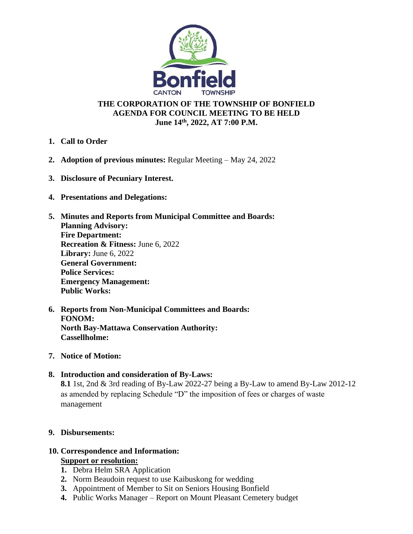

### **THE CORPORATION OF THE TOWNSHIP OF BONFIELD AGENDA FOR COUNCIL MEETING TO BE HELD June 14 th, 2022, AT 7:00 P.M.**

- **1. Call to Order**
- **2. Adoption of previous minutes:** Regular Meeting May 24, 2022
- **3. Disclosure of Pecuniary Interest.**
- **4. Presentations and Delegations:**
- **5. Minutes and Reports from Municipal Committee and Boards: Planning Advisory: Fire Department: Recreation & Fitness:** June 6, 2022 **Library:** June 6, 2022 **General Government: Police Services: Emergency Management: Public Works:**
- **6. Reports from Non-Municipal Committees and Boards: FONOM: North Bay-Mattawa Conservation Authority: Cassellholme:**
- **7. Notice of Motion:**
- **8. Introduction and consideration of By-Laws: 8.1** 1st, 2nd & 3rd reading of By-Law 2022-27 being a By-Law to amend By-Law 2012-12 as amended by replacing Schedule "D" the imposition of fees or charges of waste management

# **9. Disbursements:**

#### **10. Correspondence and Information: Support or resolution:**

- **1.** Debra Helm SRA Application
- **2.** Norm Beaudoin request to use Kaibuskong for wedding
- **3.** Appointment of Member to Sit on Seniors Housing Bonfield
- **4.** Public Works Manager Report on Mount Pleasant Cemetery budget